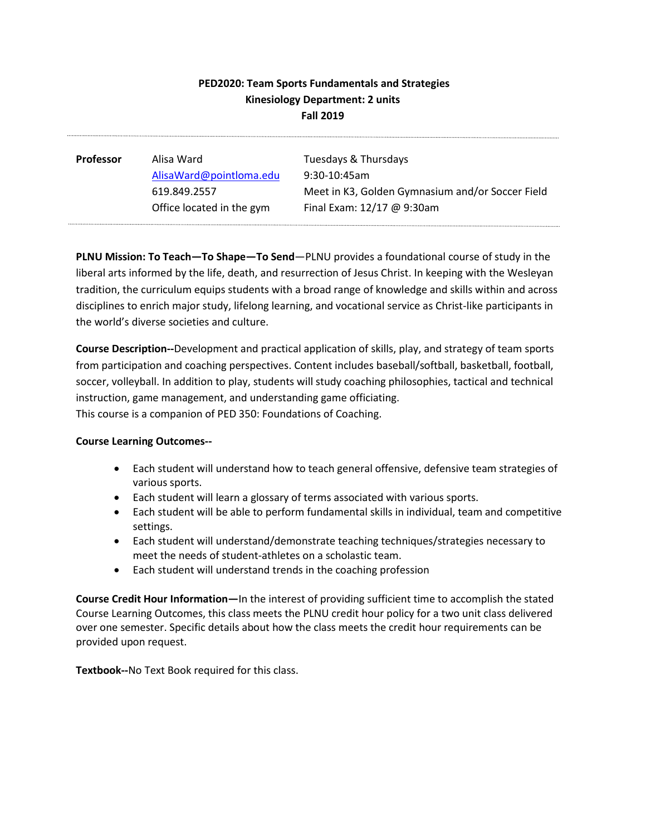# **PED2020: Team Sports Fundamentals and Strategies Kinesiology Department: 2 units Fall 2019**

| <b>Professor</b> | Alisa Ward                | Tuesdays & Thursdays                             |
|------------------|---------------------------|--------------------------------------------------|
|                  | AlisaWard@pointloma.edu   | $9:30-10:45$ am                                  |
|                  | 619.849.2557              | Meet in K3, Golden Gymnasium and/or Soccer Field |
|                  | Office located in the gym | Final Exam: 12/17 @ 9:30am                       |
|                  |                           |                                                  |

**PLNU Mission: To Teach—To Shape—To Send**—PLNU provides a foundational course of study in the liberal arts informed by the life, death, and resurrection of Jesus Christ. In keeping with the Wesleyan tradition, the curriculum equips students with a broad range of knowledge and skills within and across disciplines to enrich major study, lifelong learning, and vocational service as Christ-like participants in the world's diverse societies and culture.

**Course Description--**Development and practical application of skills, play, and strategy of team sports from participation and coaching perspectives. Content includes baseball/softball, basketball, football, soccer, volleyball. In addition to play, students will study coaching philosophies, tactical and technical instruction, game management, and understanding game officiating. This course is a companion of PED 350: Foundations of Coaching.

## **Course Learning Outcomes--**

- Each student will understand how to teach general offensive, defensive team strategies of various sports.
- Each student will learn a glossary of terms associated with various sports.
- Each student will be able to perform fundamental skills in individual, team and competitive settings.
- Each student will understand/demonstrate teaching techniques/strategies necessary to meet the needs of student-athletes on a scholastic team.
- Each student will understand trends in the coaching profession

**Course Credit Hour Information—**In the interest of providing sufficient time to accomplish the stated Course Learning Outcomes, this class meets the PLNU credit hour policy for a two unit class delivered over one semester. Specific details about how the class meets the credit hour requirements can be provided upon request.

**Textbook--**No Text Book required for this class.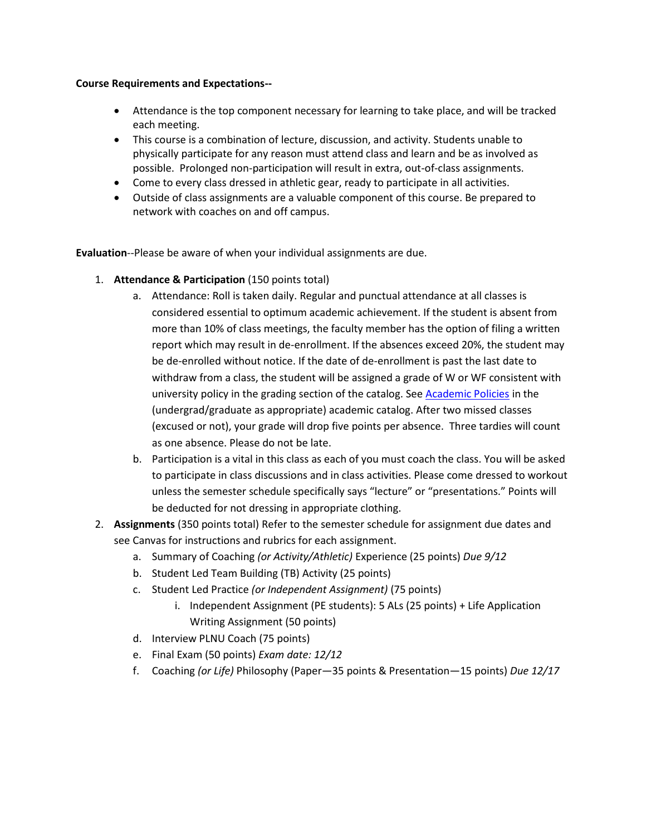## **Course Requirements and Expectations--**

- Attendance is the top component necessary for learning to take place, and will be tracked each meeting.
- This course is a combination of lecture, discussion, and activity. Students unable to physically participate for any reason must attend class and learn and be as involved as possible. Prolonged non-participation will result in extra, out-of-class assignments.
- Come to every class dressed in athletic gear, ready to participate in all activities.
- Outside of class assignments are a valuable component of this course. Be prepared to network with coaches on and off campus.

**Evaluation**--Please be aware of when your individual assignments are due.

- 1. **Attendance & Participation** (150 points total)
	- a. Attendance: Roll is taken daily. Regular and punctual attendance at all classes is considered essential to optimum academic achievement. If the student is absent from more than 10% of class meetings, the faculty member has the option of filing a written report which may result in de-enrollment. If the absences exceed 20%, the student may be de-enrolled without notice. If the date of de-enrollment is past the last date to withdraw from a class, the student will be assigned a grade of W or WF consistent with university policy in the grading section of the catalog. See [Academic Policies](http://www.pointloma.edu/experience/academics/catalogs/undergraduate-catalog/point-loma-education/academic-policies) in the (undergrad/graduate as appropriate) academic catalog. After two missed classes (excused or not), your grade will drop five points per absence. Three tardies will count as one absence. Please do not be late.
	- b. Participation is a vital in this class as each of you must coach the class. You will be asked to participate in class discussions and in class activities. Please come dressed to workout unless the semester schedule specifically says "lecture" or "presentations." Points will be deducted for not dressing in appropriate clothing.
- 2. **Assignments** (350 points total) Refer to the semester schedule for assignment due dates and see Canvas for instructions and rubrics for each assignment.
	- a. Summary of Coaching *(or Activity/Athletic)* Experience (25 points) *Due 9/12*
	- b. Student Led Team Building (TB) Activity (25 points)
	- c. Student Led Practice *(or Independent Assignment)* (75 points)
		- i. Independent Assignment (PE students): 5 ALs (25 points) + Life Application Writing Assignment (50 points)
	- d. Interview PLNU Coach (75 points)
	- e. Final Exam (50 points) *Exam date: 12/12*
	- f. Coaching *(or Life)* Philosophy (Paper—35 points & Presentation—15 points) *Due 12/17*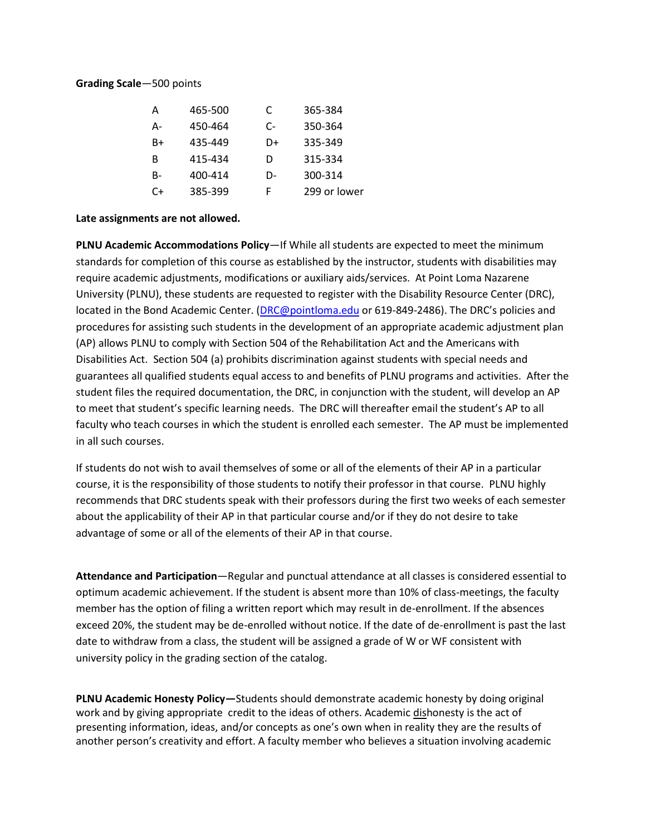#### **Grading Scale**—500 points

| А  | 465-500 | C  | 365-384      |
|----|---------|----|--------------|
| А- | 450-464 | C- | 350-364      |
| B+ | 435-449 | D+ | 335-349      |
| в  | 415-434 | D  | 315-334      |
| B- | 400-414 | D- | 300-314      |
| C+ | 385-399 | F  | 299 or lower |

### **Late assignments are not allowed.**

**PLNU Academic Accommodations Policy**—If While all students are expected to meet the minimum standards for completion of this course as established by the instructor, students with disabilities may require academic adjustments, modifications or auxiliary aids/services. At Point Loma Nazarene University (PLNU), these students are requested to register with the Disability Resource Center (DRC), located in the Bond Academic Center. [\(DRC@pointloma.edu](mailto:DRC@pointloma.edu) or 619-849-2486). The DRC's policies and procedures for assisting such students in the development of an appropriate academic adjustment plan (AP) allows PLNU to comply with Section 504 of the Rehabilitation Act and the Americans with Disabilities Act. Section 504 (a) prohibits discrimination against students with special needs and guarantees all qualified students equal access to and benefits of PLNU programs and activities. After the student files the required documentation, the DRC, in conjunction with the student, will develop an AP to meet that student's specific learning needs. The DRC will thereafter email the student's AP to all faculty who teach courses in which the student is enrolled each semester. The AP must be implemented in all such courses.

If students do not wish to avail themselves of some or all of the elements of their AP in a particular course, it is the responsibility of those students to notify their professor in that course. PLNU highly recommends that DRC students speak with their professors during the first two weeks of each semester about the applicability of their AP in that particular course and/or if they do not desire to take advantage of some or all of the elements of their AP in that course.

**Attendance and Participation**—Regular and punctual attendance at all classes is considered essential to optimum academic achievement. If the student is absent more than 10% of class-meetings, the faculty member has the option of filing a written report which may result in de-enrollment. If the absences exceed 20%, the student may be de-enrolled without notice. If the date of de-enrollment is past the last date to withdraw from a class, the student will be assigned a grade of W or WF consistent with university policy in the grading section of the catalog.

**PLNU Academic Honesty Policy—**Students should demonstrate academic honesty by doing original work and by giving appropriate credit to the ideas of others. Academic dishonesty is the act of presenting information, ideas, and/or concepts as one's own when in reality they are the results of another person's creativity and effort. A faculty member who believes a situation involving academic